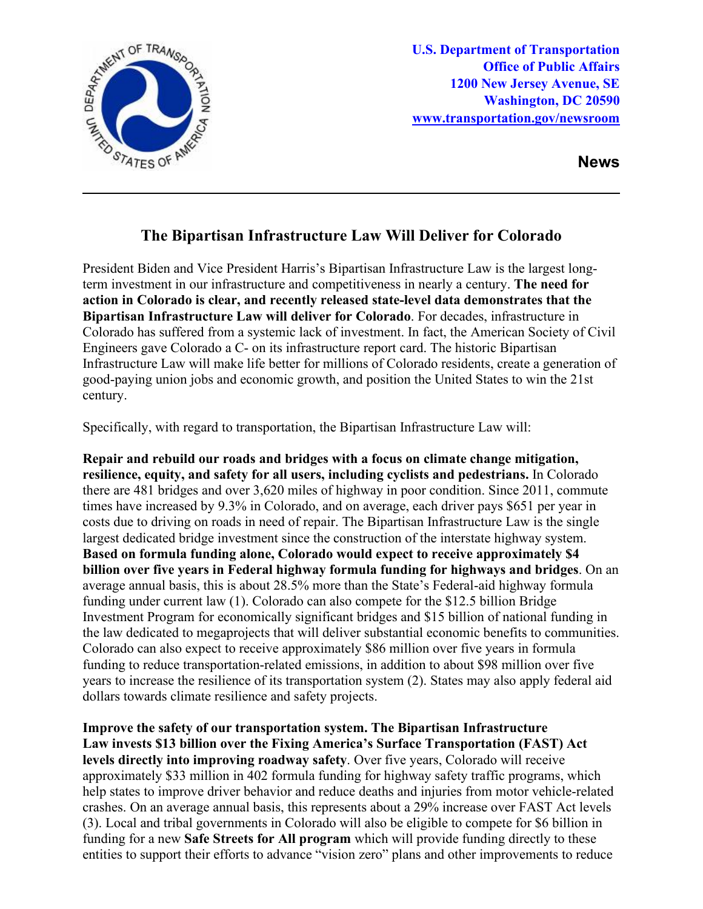

**U.S. Department of Transportation Office of Public Affairs 1200 New Jersey Avenue, SE Washington, DC 20590 [www.transportation.gov/newsroom](http://www.transportation.gov/newsroom)** 

**News**

## **The Bipartisan Infrastructure Law Will Deliver for Colorado**

President Biden and Vice President Harris's Bipartisan Infrastructure Law is the largest longterm investment in our infrastructure and competitiveness in nearly a century. **The need for action in Colorado is clear, and recently released state-level data demonstrates that the Bipartisan Infrastructure Law will deliver for Colorado**. For decades, infrastructure in Colorado has suffered from a systemic lack of investment. In fact, the American Society of Civil Engineers gave Colorado a C- on its infrastructure report card. The historic Bipartisan Infrastructure Law will make life better for millions of Colorado residents, create a generation of good-paying union jobs and economic growth, and position the United States to win the 21st century.

Specifically, with regard to transportation, the Bipartisan Infrastructure Law will:

**Repair and rebuild our roads and bridges with a focus on climate change mitigation, resilience, equity, and safety for all users, including cyclists and pedestrians.** In Colorado there are 481 bridges and over 3,620 miles of highway in poor condition. Since 2011, commute times have increased by 9.3% in Colorado, and on average, each driver pays \$651 per year in costs due to driving on roads in need of repair. The Bipartisan Infrastructure Law is the single largest dedicated bridge investment since the construction of the interstate highway system. **Based on formula funding alone, Colorado would expect to receive approximately \$4 billion over five years in Federal highway formula funding for highways and bridges**. On an average annual basis, this is about 28.5% more than the State's Federal-aid highway formula funding under current law (1). Colorado can also compete for the \$12.5 billion Bridge Investment Program for economically significant bridges and \$15 billion of national funding in the law dedicated to megaprojects that will deliver substantial economic benefits to communities. Colorado can also expect to receive approximately \$86 million over five years in formula funding to reduce transportation-related emissions, in addition to about \$98 million over five years to increase the resilience of its transportation system (2). States may also apply federal aid dollars towards climate resilience and safety projects.

**Improve the safety of our transportation system. The Bipartisan Infrastructure Law invests \$13 billion over the Fixing America's Surface Transportation (FAST) Act levels directly into improving roadway safety**. Over five years, Colorado will receive approximately \$33 million in 402 formula funding for highway safety traffic programs, which help states to improve driver behavior and reduce deaths and injuries from motor vehicle-related crashes. On an average annual basis, this represents about a 29% increase over FAST Act levels (3). Local and tribal governments in Colorado will also be eligible to compete for \$6 billion in funding for a new **Safe Streets for All program** which will provide funding directly to these entities to support their efforts to advance "vision zero" plans and other improvements to reduce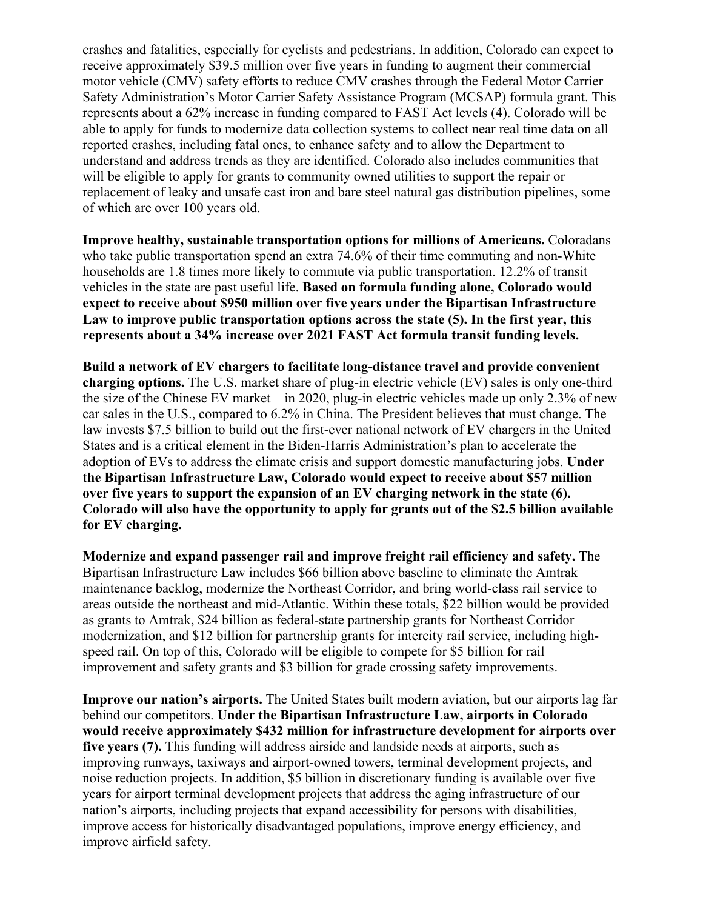crashes and fatalities, especially for cyclists and pedestrians. In addition, Colorado can expect to receive approximately \$39.5 million over five years in funding to augment their commercial motor vehicle (CMV) safety efforts to reduce CMV crashes through the Federal Motor Carrier Safety Administration's Motor Carrier Safety Assistance Program (MCSAP) formula grant. This represents about a 62% increase in funding compared to FAST Act levels (4). Colorado will be able to apply for funds to modernize data collection systems to collect near real time data on all reported crashes, including fatal ones, to enhance safety and to allow the Department to understand and address trends as they are identified. Colorado also includes communities that will be eligible to apply for grants to community owned utilities to support the repair or replacement of leaky and unsafe cast iron and bare steel natural gas distribution pipelines, some of which are over 100 years old.

**Improve healthy, sustainable transportation options for millions of Americans.** Coloradans who take public transportation spend an extra 74.6% of their time commuting and non-White households are 1.8 times more likely to commute via public transportation. 12.2% of transit vehicles in the state are past useful life. **Based on formula funding alone, Colorado would expect to receive about \$950 million over five years under the Bipartisan Infrastructure Law to improve public transportation options across the state (5). In the first year, this represents about a 34% increase over 2021 FAST Act formula transit funding levels.**

**Build a network of EV chargers to facilitate long-distance travel and provide convenient charging options.** The U.S. market share of plug-in electric vehicle (EV) sales is only one-third the size of the Chinese EV market – in 2020, plug-in electric vehicles made up only 2.3% of new car sales in the U.S., compared to 6.2% in China. The President believes that must change. The law invests \$7.5 billion to build out the first-ever national network of EV chargers in the United States and is a critical element in the Biden-Harris Administration's plan to accelerate the adoption of EVs to address the climate crisis and support domestic manufacturing jobs. **Under the Bipartisan Infrastructure Law, Colorado would expect to receive about \$57 million over five years to support the expansion of an EV charging network in the state (6). Colorado will also have the opportunity to apply for grants out of the \$2.5 billion available for EV charging.** 

**Modernize and expand passenger rail and improve freight rail efficiency and safety.** The Bipartisan Infrastructure Law includes \$66 billion above baseline to eliminate the Amtrak maintenance backlog, modernize the Northeast Corridor, and bring world-class rail service to areas outside the northeast and mid-Atlantic. Within these totals, \$22 billion would be provided as grants to Amtrak, \$24 billion as federal-state partnership grants for Northeast Corridor modernization, and \$12 billion for partnership grants for intercity rail service, including highspeed rail. On top of this, Colorado will be eligible to compete for \$5 billion for rail improvement and safety grants and \$3 billion for grade crossing safety improvements.

**Improve our nation's airports.** The United States built modern aviation, but our airports lag far behind our competitors. **Under the Bipartisan Infrastructure Law, airports in Colorado would receive approximately \$432 million for infrastructure development for airports over five years (7).** This funding will address airside and landside needs at airports, such as improving runways, taxiways and airport-owned towers, terminal development projects, and noise reduction projects. In addition, \$5 billion in discretionary funding is available over five years for airport terminal development projects that address the aging infrastructure of our nation's airports, including projects that expand accessibility for persons with disabilities, improve access for historically disadvantaged populations, improve energy efficiency, and improve airfield safety.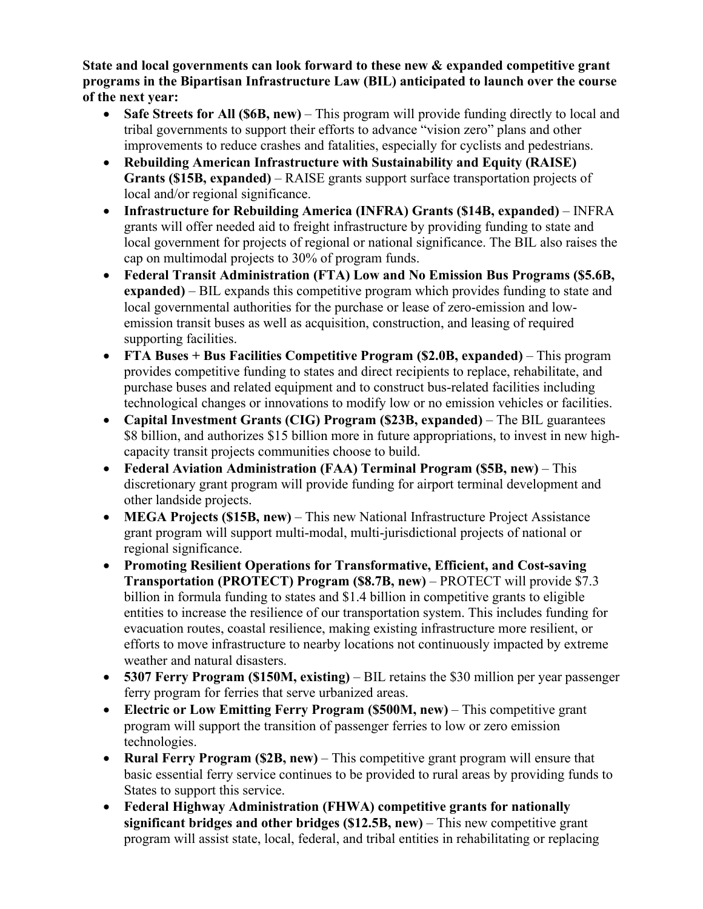**State and local governments can look forward to these new & expanded competitive grant programs in the Bipartisan Infrastructure Law (BIL) anticipated to launch over the course of the next year:** 

- **Safe Streets for All (\$6B, new)** This program will provide funding directly to local and tribal governments to support their efforts to advance "vision zero" plans and other improvements to reduce crashes and fatalities, especially for cyclists and pedestrians.
- **Rebuilding American Infrastructure with Sustainability and Equity (RAISE) Grants (\$15B, expanded)** – RAISE grants support surface transportation projects of local and/or regional significance.
- **Infrastructure for Rebuilding America (INFRA) Grants (\$14B, expanded)**  INFRA grants will offer needed aid to freight infrastructure by providing funding to state and local government for projects of regional or national significance. The BIL also raises the cap on multimodal projects to 30% of program funds.
- **Federal Transit Administration (FTA) Low and No Emission Bus Programs (\$5.6B, expanded)** – BIL expands this competitive program which provides funding to state and local governmental authorities for the purchase or lease of zero-emission and lowemission transit buses as well as acquisition, construction, and leasing of required supporting facilities.
- **FTA Buses + Bus Facilities Competitive Program (\$2.0B, expanded)** This program provides competitive funding to states and direct recipients to replace, rehabilitate, and purchase buses and related equipment and to construct bus-related facilities including technological changes or innovations to modify low or no emission vehicles or facilities.
- **Capital Investment Grants (CIG) Program (\$23B, expanded)** The BIL guarantees \$8 billion, and authorizes \$15 billion more in future appropriations, to invest in new highcapacity transit projects communities choose to build.
- **Federal Aviation Administration (FAA) Terminal Program (\$5B, new)** This discretionary grant program will provide funding for airport terminal development and other landside projects.
- **MEGA Projects (\$15B, new)** This new National Infrastructure Project Assistance grant program will support multi-modal, multi-jurisdictional projects of national or regional significance.
- **Promoting Resilient Operations for Transformative, Efficient, and Cost-saving Transportation (PROTECT) Program (\$8.7B, new)** – PROTECT will provide \$7.3 billion in formula funding to states and \$1.4 billion in competitive grants to eligible entities to increase the resilience of our transportation system. This includes funding for evacuation routes, coastal resilience, making existing infrastructure more resilient, or efforts to move infrastructure to nearby locations not continuously impacted by extreme weather and natural disasters.
- **5307 Ferry Program (\$150M, existing)** BIL retains the \$30 million per year passenger ferry program for ferries that serve urbanized areas.
- **Electric or Low Emitting Ferry Program (\$500M, new)** This competitive grant program will support the transition of passenger ferries to low or zero emission technologies.
- **Rural Ferry Program (\$2B, new)** This competitive grant program will ensure that basic essential ferry service continues to be provided to rural areas by providing funds to States to support this service.
- **Federal Highway Administration (FHWA) competitive grants for nationally significant bridges and other bridges (\$12.5B, new)** – This new competitive grant program will assist state, local, federal, and tribal entities in rehabilitating or replacing